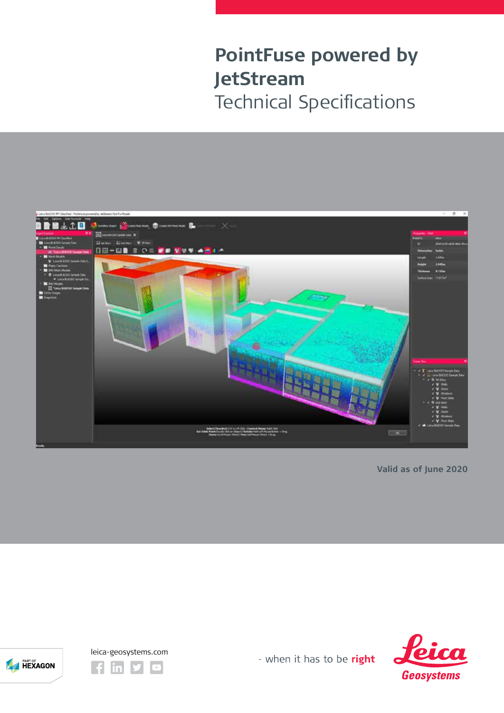

**Valid as of June 2020**





HEXAGON

- when it has to be right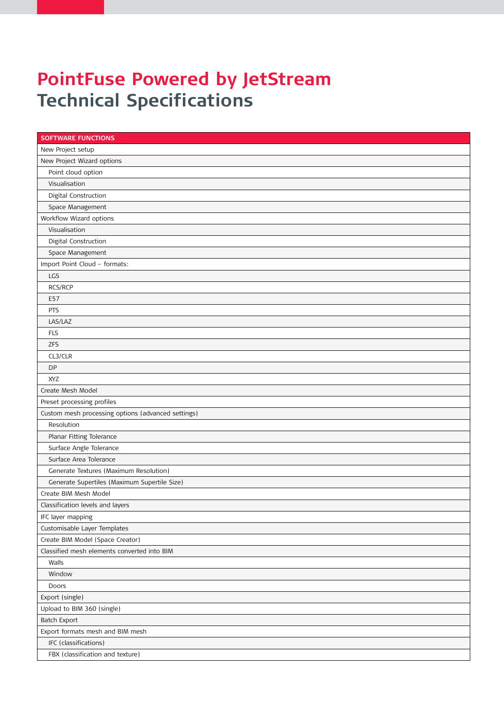| <b>SOFTWARE FUNCTIONS</b>                          |  |  |
|----------------------------------------------------|--|--|
| New Project setup                                  |  |  |
| New Project Wizard options                         |  |  |
| Point cloud option                                 |  |  |
| Visualisation                                      |  |  |
| Digital Construction                               |  |  |
| Space Management                                   |  |  |
| Workflow Wizard options                            |  |  |
| Visualisation                                      |  |  |
| Digital Construction                               |  |  |
| Space Management                                   |  |  |
| Import Point Cloud - formats:                      |  |  |
| LGS                                                |  |  |
| RCS/RCP                                            |  |  |
| E57                                                |  |  |
| PTS                                                |  |  |
| LAS/LAZ                                            |  |  |
| <b>FLS</b>                                         |  |  |
| <b>ZFS</b>                                         |  |  |
| CL3/CLR                                            |  |  |
| <b>DP</b>                                          |  |  |
| <b>XYZ</b>                                         |  |  |
| Create Mesh Model                                  |  |  |
| Preset processing profiles                         |  |  |
| Custom mesh processing options (advanced settings) |  |  |
| Resolution                                         |  |  |
| Planar Fitting Tolerance                           |  |  |
| Surface Angle Tolerance                            |  |  |
| Surface Area Tolerance                             |  |  |
| Generate Textures (Maximum Resolution)             |  |  |
| Generate Supertiles (Maximum Supertile Size)       |  |  |
| Create BIM Mesh Model                              |  |  |
| Classification levels and layers                   |  |  |
| IFC layer mapping                                  |  |  |
| Customisable Layer Templates                       |  |  |
| Create BIM Model (Space Creator)                   |  |  |
| Classified mesh elements converted into BIM        |  |  |
| Walls                                              |  |  |
| Window                                             |  |  |
| Doors                                              |  |  |
| Export (single)                                    |  |  |
| Upload to BIM 360 (single)                         |  |  |
| Batch Export                                       |  |  |
| Export formats mesh and BIM mesh                   |  |  |
| IFC (classifications)                              |  |  |
| FBX (classification and texture)                   |  |  |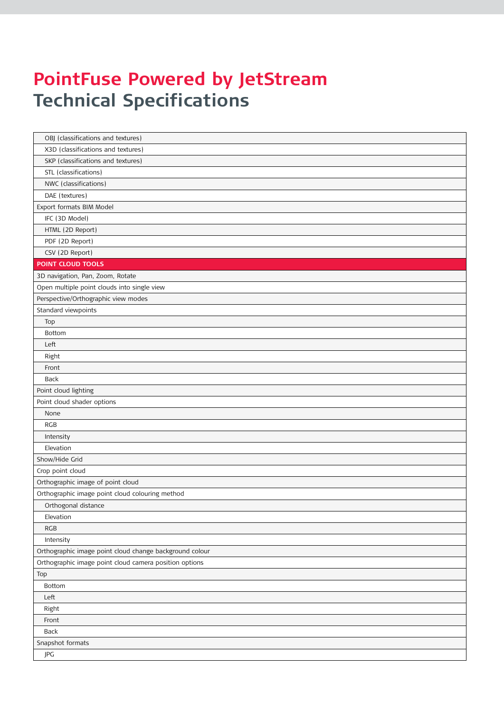| OBJ (classifications and textures)                      |  |  |
|---------------------------------------------------------|--|--|
| X3D (classifications and textures)                      |  |  |
| SKP (classifications and textures)                      |  |  |
| STL (classifications)                                   |  |  |
| NWC (classifications)                                   |  |  |
| DAE (textures)                                          |  |  |
| Export formats BIM Model                                |  |  |
| IFC (3D Model)                                          |  |  |
| HTML (2D Report)                                        |  |  |
| PDF (2D Report)                                         |  |  |
| CSV (2D Report)                                         |  |  |
| <b>POINT CLOUD TOOLS</b>                                |  |  |
| 3D navigation, Pan, Zoom, Rotate                        |  |  |
| Open multiple point clouds into single view             |  |  |
| Perspective/Orthographic view modes                     |  |  |
| Standard viewpoints                                     |  |  |
| Top                                                     |  |  |
| Bottom                                                  |  |  |
| Left                                                    |  |  |
| Right                                                   |  |  |
| Front                                                   |  |  |
| Back                                                    |  |  |
| Point cloud lighting                                    |  |  |
| Point cloud shader options                              |  |  |
| None                                                    |  |  |
| RGB                                                     |  |  |
| Intensity                                               |  |  |
| Elevation                                               |  |  |
| Show/Hide Grid                                          |  |  |
| Crop point cloud                                        |  |  |
| Orthographic image of point cloud                       |  |  |
| Orthographic image point cloud colouring method         |  |  |
| Orthogonal distance                                     |  |  |
| Elevation                                               |  |  |
| <b>RGB</b>                                              |  |  |
| Intensity                                               |  |  |
| Orthographic image point cloud change background colour |  |  |
| Orthographic image point cloud camera position options  |  |  |
| Top                                                     |  |  |
| Bottom                                                  |  |  |
| Left                                                    |  |  |
| Right                                                   |  |  |
| Front                                                   |  |  |
| Back                                                    |  |  |
| Snapshot formats                                        |  |  |
| JPG                                                     |  |  |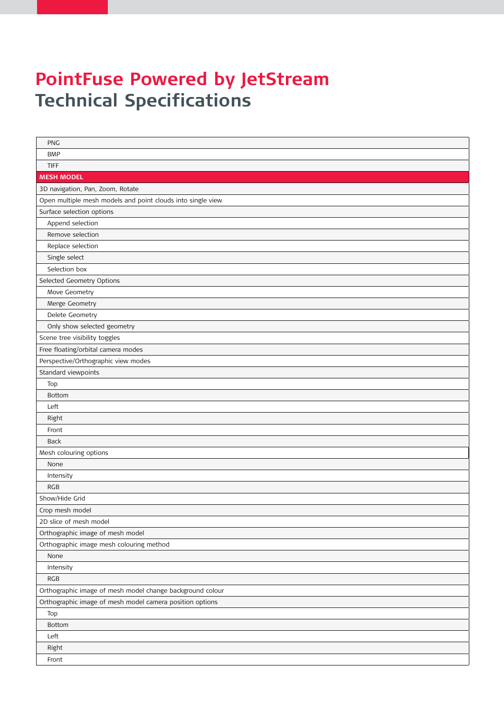| PNG                                                         |
|-------------------------------------------------------------|
| <b>BMP</b>                                                  |
| <b>TIFF</b>                                                 |
| <b>MESH MODEL</b>                                           |
| 3D navigation, Pan, Zoom, Rotate                            |
| Open multiple mesh models and point clouds into single view |
| Surface selection options                                   |
| Append selection                                            |
| Remove selection                                            |
| Replace selection                                           |
| Single select                                               |
| Selection box                                               |
| Selected Geometry Options                                   |
| Move Geometry                                               |
| Merge Geometry                                              |
| Delete Geometry                                             |
| Only show selected geometry                                 |
| Scene tree visibility toggles                               |
| Free floating/orbital camera modes                          |
| Perspective/Orthographic view modes                         |
| Standard viewpoints                                         |
| Top                                                         |
| Bottom                                                      |
| Left                                                        |
| Right                                                       |
| Front                                                       |
| Back                                                        |
| Mesh colouring options                                      |
| None                                                        |
| Intensity                                                   |
| RGB                                                         |
| Show/Hide Grid                                              |
| Crop mesh model                                             |
| 2D slice of mesh model                                      |
| Orthographic image of mesh model                            |
| Orthographic image mesh colouring method                    |
| None                                                        |
| Intensity                                                   |
| <b>RGB</b>                                                  |
| Orthographic image of mesh model change background colour   |
| Orthographic image of mesh model camera position options    |
| Top                                                         |
| Bottom                                                      |
| Left                                                        |
| Right                                                       |
| Front                                                       |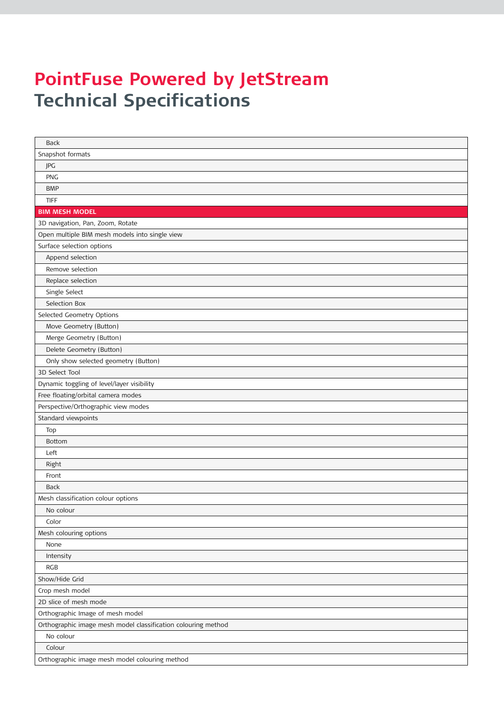| Back                                                          |
|---------------------------------------------------------------|
| Snapshot formats                                              |
| JPG                                                           |
| <b>PNG</b>                                                    |
| <b>BMP</b>                                                    |
| <b>TIFF</b>                                                   |
| <b>BIM MESH MODEL</b>                                         |
| 3D navigation, Pan, Zoom, Rotate                              |
| Open multiple BIM mesh models into single view                |
| Surface selection options                                     |
| Append selection                                              |
| Remove selection                                              |
| Replace selection                                             |
| Single Select                                                 |
| Selection Box                                                 |
| Selected Geometry Options                                     |
| Move Geometry (Button)                                        |
| Merge Geometry (Button)                                       |
| Delete Geometry (Button)                                      |
| Only show selected geometry (Button)                          |
| 3D Select Tool                                                |
| Dynamic toggling of level/layer visibility                    |
| Free floating/orbital camera modes                            |
| Perspective/Orthographic view modes                           |
| Standard viewpoints                                           |
| Top                                                           |
| Bottom                                                        |
| Left                                                          |
| Right                                                         |
| Front                                                         |
| Back                                                          |
| Mesh classification colour options                            |
| No colour                                                     |
| Color                                                         |
| Mesh colouring options                                        |
| None                                                          |
| Intensity                                                     |
| <b>RGB</b>                                                    |
| Show/Hide Grid                                                |
| Crop mesh model                                               |
| 2D slice of mesh mode                                         |
| Orthographic Image of mesh model                              |
| Orthographic image mesh model classification colouring method |
| No colour                                                     |
| Colour                                                        |
| Orthographic image mesh model colouring method                |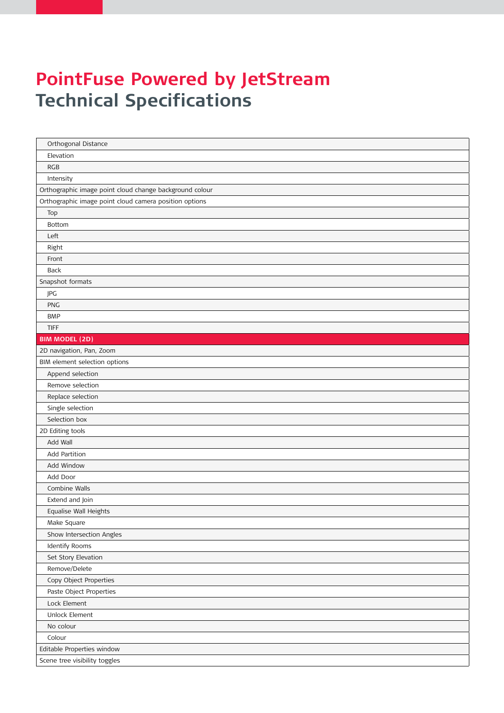| Orthogonal Distance                                     |
|---------------------------------------------------------|
| Elevation                                               |
| <b>RGB</b>                                              |
| Intensity                                               |
| Orthographic image point cloud change background colour |
| Orthographic image point cloud camera position options  |
| Top                                                     |
| Bottom                                                  |
| Left                                                    |
| Right                                                   |
| Front                                                   |
| Back                                                    |
| Snapshot formats                                        |
| JPG                                                     |
| <b>PNG</b>                                              |
| <b>BMP</b>                                              |
| <b>TIFF</b>                                             |
| <b>BIM MODEL (2D)</b>                                   |
| 2D navigation, Pan, Zoom                                |
| BIM element selection options                           |
| Append selection                                        |
| Remove selection                                        |
| Replace selection                                       |
| Single selection                                        |
| Selection box                                           |
| 2D Editing tools                                        |
| Add Wall                                                |
| Add Partition                                           |
| Add Window                                              |
| Add Door                                                |
| Combine Walls                                           |
| Extend and Join                                         |
| Equalise Wall Heights                                   |
| Make Square                                             |
| Show Intersection Angles                                |
| Identify Rooms                                          |
| Set Story Elevation                                     |
| Remove/Delete                                           |
| Copy Object Properties                                  |
| Paste Object Properties                                 |
| Lock Element                                            |
| Unlock Element                                          |
| No colour                                               |
| Colour                                                  |
| Editable Properties window                              |
| Scene tree visibility toggles                           |
|                                                         |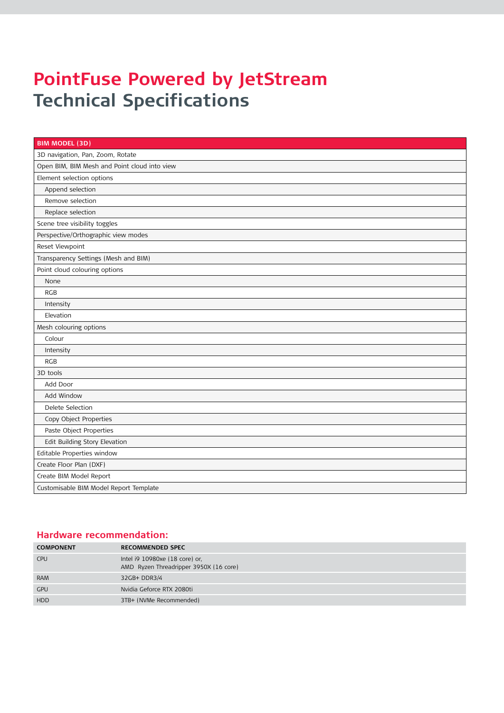| <b>BIM MODEL (3D)</b>                        |  |  |
|----------------------------------------------|--|--|
| 3D navigation, Pan, Zoom, Rotate             |  |  |
| Open BIM, BIM Mesh and Point cloud into view |  |  |
| Element selection options                    |  |  |
| Append selection                             |  |  |
| Remove selection                             |  |  |
| Replace selection                            |  |  |
| Scene tree visibility toggles                |  |  |
| Perspective/Orthographic view modes          |  |  |
| Reset Viewpoint                              |  |  |
| Transparency Settings (Mesh and BIM)         |  |  |
| Point cloud colouring options                |  |  |
| None                                         |  |  |
| <b>RGB</b>                                   |  |  |
| Intensity                                    |  |  |
| Elevation                                    |  |  |
| Mesh colouring options                       |  |  |
| Colour                                       |  |  |
| Intensity                                    |  |  |
| <b>RGB</b>                                   |  |  |
| 3D tools                                     |  |  |
| Add Door                                     |  |  |
| Add Window                                   |  |  |
| Delete Selection                             |  |  |
| Copy Object Properties                       |  |  |
| Paste Object Properties                      |  |  |
| Edit Building Story Elevation                |  |  |
| Editable Properties window                   |  |  |
| Create Floor Plan (DXF)                      |  |  |
| Create BIM Model Report                      |  |  |
| Customisable BIM Model Report Template       |  |  |

#### **Hardware recommendation:**

| <b>COMPONENT</b> | <b>RECOMMENDED SPEC</b>                                                  |
|------------------|--------------------------------------------------------------------------|
| <b>CPU</b>       | Intel i9 10980xe (18 core) or,<br>AMD Ryzen Threadripper 3950X (16 core) |
| <b>RAM</b>       | 32GB+ DDR3/4                                                             |
| <b>GPU</b>       | Nvidia Geforce RTX 2080ti                                                |
| <b>HDD</b>       | 3TB+ (NVMe Recommended)                                                  |